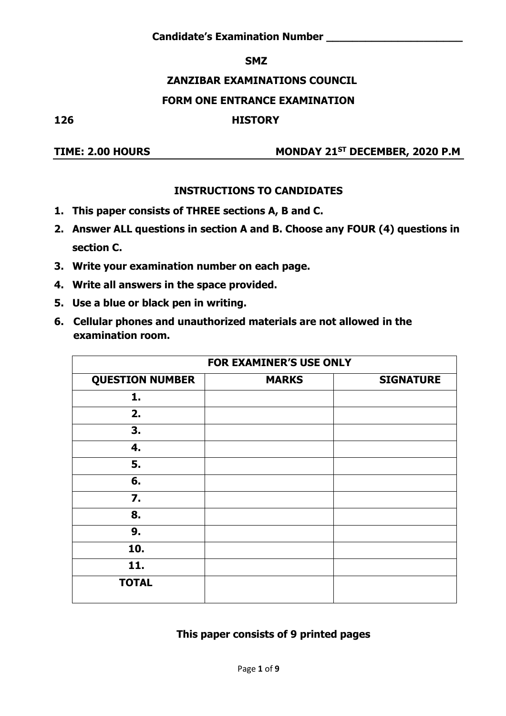#### **SMZ**

## **ZANZIBAR EXAMINATIONS COUNCIL**

#### **FORM ONE ENTRANCE EXAMINATION**

#### **126 HISTORY**

### **TIME: 2.00 HOURS MONDAY 21ST DECEMBER, 2020 P.M**

#### **INSTRUCTIONS TO CANDIDATES**

- **1. This paper consists of THREE sections A, B and C.**
- **2. Answer ALL questions in section A and B. Choose any FOUR (4) questions in section C.**
- **3. Write your examination number on each page.**
- **4. Write all answers in the space provided.**
- **5. Use a blue or black pen in writing.**
- **6. Cellular phones and unauthorized materials are not allowed in the examination room.**

|                        | <b>FOR EXAMINER'S USE ONLY</b> |                  |
|------------------------|--------------------------------|------------------|
| <b>QUESTION NUMBER</b> | <b>MARKS</b>                   | <b>SIGNATURE</b> |
| 1.                     |                                |                  |
| 2.                     |                                |                  |
| 3.                     |                                |                  |
| 4.                     |                                |                  |
| 5.                     |                                |                  |
| 6.                     |                                |                  |
| 7.                     |                                |                  |
| 8.                     |                                |                  |
| 9.                     |                                |                  |
| 10.                    |                                |                  |
| 11.                    |                                |                  |
| <b>TOTAL</b>           |                                |                  |

#### **This paper consists of 9 printed pages**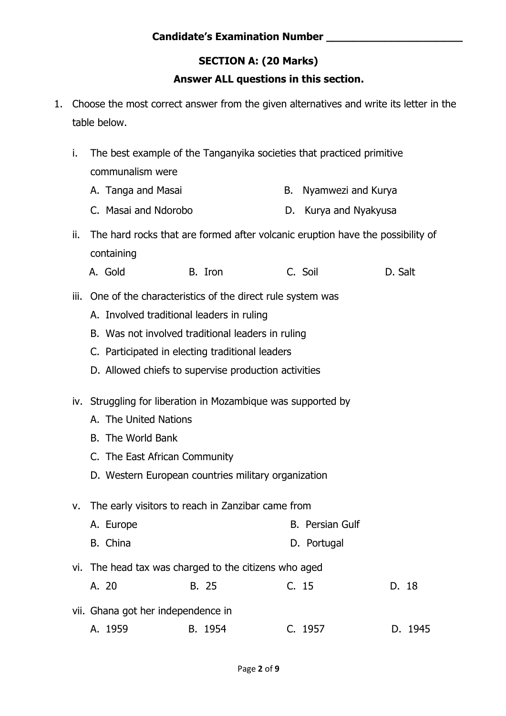# **SECTION A: (20 Marks)**

### **Answer ALL questions in this section.**

- 1. Choose the most correct answer from the given alternatives and write its letter in the table below.
	- i. The best example of the Tanganyika societies that practiced primitive communalism were
		- A. Tanga and Masai B. Nyamwezi and Kurya
		- C. Masai and Ndorobo D. Kurya and Nyakyusa
	- ii. The hard rocks that are formed after volcanic eruption have the possibility of containing
- A. Gold B. Iron C. Soil D. Salt
	- iii. One of the characteristics of the direct rule system was
		- A. Involved traditional leaders in ruling
		- B. Was not involved traditional leaders in ruling
		- C. Participated in electing traditional leaders
		- D. Allowed chiefs to supervise production activities
	- iv. Struggling for liberation in Mozambique was supported by
		- A. The United Nations
		- B. The World Bank
		- C. The East African Community
		- D. Western European countries military organization

v. The early visitors to reach in Zanzibar came from

- A. Europe B. Persian Gulf
- B. China D. Portugal
- vi. The head tax was charged to the citizens who aged
- A. 20 B. 25 C. 15 D. 18 vii. Ghana got her independence in
	- A. 1959 B. 1954 C. 1957 D. 1945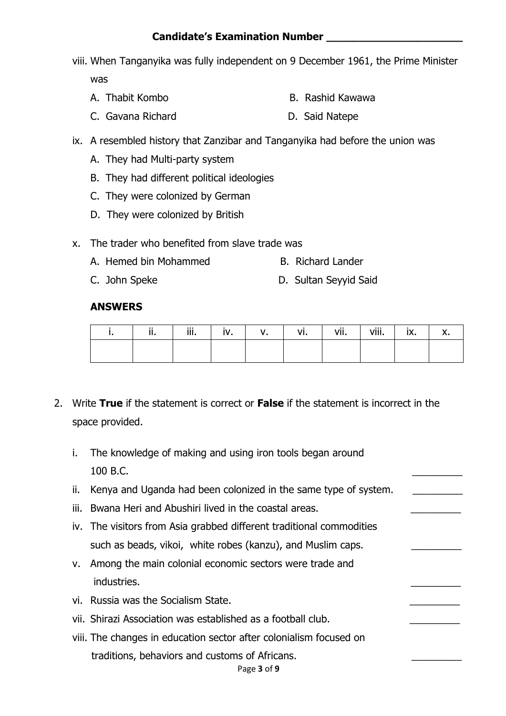viii. When Tanganyika was fully independent on 9 December 1961, the Prime Minister

was

- A. Thabit Kombo B. Rashid Kawawa
- C. Gavana Richard D. Said Natepe
- ix. A resembled history that Zanzibar and Tanganyika had before the union was
	- A. They had Multi-party system
	- B. They had different political ideologies
	- C. They were colonized by German
	- D. They were colonized by British
- x. The trader who benefited from slave trade was
	- A. Hemed bin Mohammed B. Richard Lander
	- C. John Speke D. Sultan Seyyid Said

#### **ANSWERS**

| ii. | iii. | iv. | V <sub>1</sub> | vi. I | vii. | $V$ iii. $\ $ | ix. | x. |
|-----|------|-----|----------------|-------|------|---------------|-----|----|
|     |      |     |                |       |      |               |     |    |

- 2. Write **True** if the statement is correct or **False** if the statement is incorrect in the space provided.
	- i. The knowledge of making and using iron tools began around  $100$  B.C.
	- ii. Kenya and Uganda had been colonized in the same type of system.
	- iii. Bwana Heri and Abushiri lived in the coastal areas.
	- iv. The visitors from Asia grabbed different traditional commodities such as beads, vikoi, white robes (kanzu), and Muslim caps.
	- v. Among the main colonial economic sectors were trade and industries.
	- vi. Russia was the Socialism State.
	- vii. Shirazi Association was established as a football club.
	- viii. The changes in education sector after colonialism focused on traditions, behaviors and customs of Africans.

#### Page **3** of **9**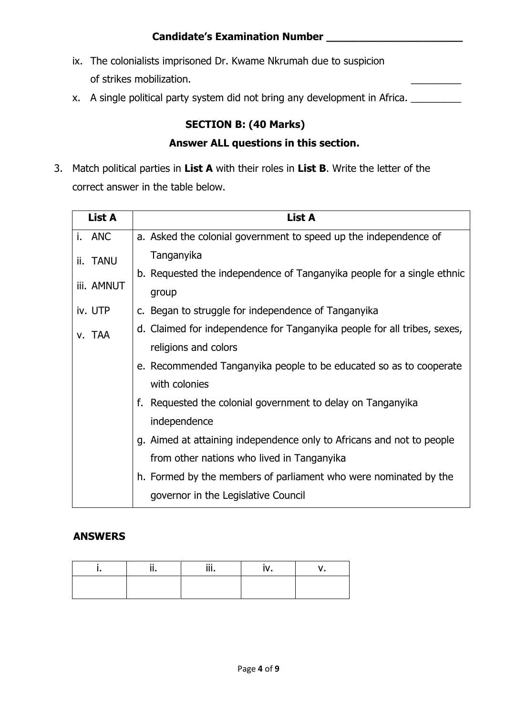- ix. The colonialists imprisoned Dr. Kwame Nkrumah due to suspicion of strikes mobilization.
- x. A single political party system did not bring any development in Africa.

# **SECTION B: (40 Marks)**

#### **Answer ALL questions in this section.**

3. Match political parties in **List A** with their roles in **List B**. Write the letter of the correct answer in the table below.

| <b>List A</b> | List A                                                                   |
|---------------|--------------------------------------------------------------------------|
| i. ANC        | a. Asked the colonial government to speed up the independence of         |
| ii. TANU      | Tanganyika                                                               |
|               | b. Requested the independence of Tanganyika people for a single ethnic   |
| iii. AMNUT    | group                                                                    |
| iv. UTP       | c. Began to struggle for independence of Tanganyika                      |
| v. TAA        | d. Claimed for independence for Tanganyika people for all tribes, sexes, |
|               | religions and colors                                                     |
|               | e. Recommended Tanganyika people to be educated so as to cooperate       |
|               | with colonies                                                            |
|               | f. Requested the colonial government to delay on Tanganyika              |
|               | independence                                                             |
|               | g. Aimed at attaining independence only to Africans and not to people    |
|               | from other nations who lived in Tanganyika                               |
|               | h. Formed by the members of parliament who were nominated by the         |
|               | governor in the Legislative Council                                      |

### **ANSWERS**

| <br> | $\cdots$<br><br> |  |
|------|------------------|--|
|      |                  |  |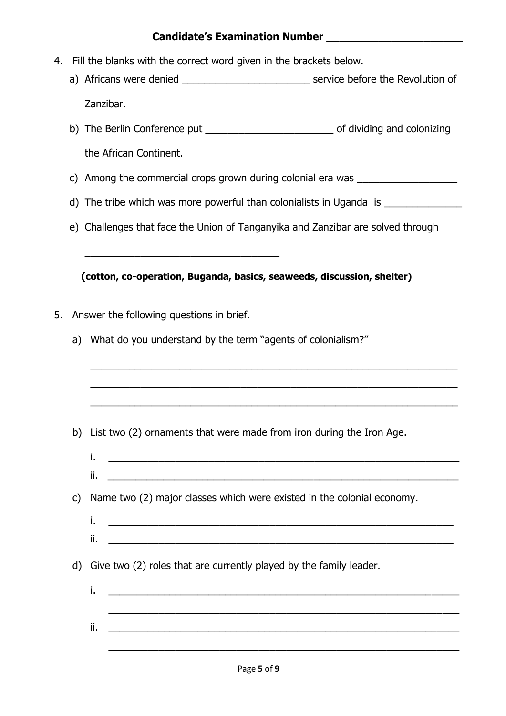- 4. Fill the blanks with the correct word given in the brackets below.
	- a) Africans were denied \_\_\_\_\_\_\_\_\_\_\_\_\_\_\_\_\_\_\_\_\_\_\_\_\_\_\_\_\_\_\_\_\_ service before the Revolution of Zanzibar.
	- b) The Berlin Conference put \_\_\_\_\_\_\_\_\_\_\_\_\_\_\_\_\_\_\_\_\_\_\_ of dividing and colonizing the African Continent.
	- c) Among the commercial crops grown during colonial era was \_\_\_\_\_\_\_\_\_\_\_\_\_\_\_\_\_\_\_\_
	- d) The tribe which was more powerful than colonialists in Uganda is
	- e) Challenges that face the Union of Tanganyika and Zanzibar are solved through

 **(cotton, co-operation, Buganda, basics, seaweeds, discussion, shelter)**

5. Answer the following questions in brief.

\_\_\_\_\_\_\_\_\_\_\_\_\_\_\_\_\_\_\_\_\_\_\_\_\_\_\_\_\_\_\_\_\_\_\_

a) What do you understand by the term "agents of colonialism?"

b) List two (2) ornaments that were made from iron during the Iron Age.

i. \_\_\_\_\_\_\_\_\_\_\_\_\_\_\_\_\_\_\_\_\_\_\_\_\_\_\_\_\_\_\_\_\_\_\_\_\_\_\_\_\_\_\_\_\_\_\_\_\_\_\_\_\_\_\_\_\_\_\_\_\_\_\_

\_\_\_\_\_\_\_\_\_\_\_\_\_\_\_\_\_\_\_\_\_\_\_\_\_\_\_\_\_\_\_\_\_\_\_\_\_\_\_\_\_\_\_\_\_\_\_\_\_\_\_\_\_\_\_\_\_\_\_\_\_\_\_\_\_\_

\_\_\_\_\_\_\_\_\_\_\_\_\_\_\_\_\_\_\_\_\_\_\_\_\_\_\_\_\_\_\_\_\_\_\_\_\_\_\_\_\_\_\_\_\_\_\_\_\_\_\_\_\_\_\_\_\_\_\_\_\_\_\_\_\_\_

\_\_\_\_\_\_\_\_\_\_\_\_\_\_\_\_\_\_\_\_\_\_\_\_\_\_\_\_\_\_\_\_\_\_\_\_\_\_\_\_\_\_\_\_\_\_\_\_\_\_\_\_\_\_\_\_\_\_\_\_\_\_\_\_\_\_

- ii. \_\_\_\_\_\_\_\_\_\_\_\_\_\_\_\_\_\_\_\_\_\_\_\_\_\_\_\_\_\_\_\_\_\_\_\_\_\_\_\_\_\_\_\_\_\_\_\_\_\_\_\_\_\_\_\_\_\_\_\_\_\_\_
	- c) Name two (2) major classes which were existed in the colonial economy.
		- i. \_\_\_\_\_\_\_\_\_\_\_\_\_\_\_\_\_\_\_\_\_\_\_\_\_\_\_\_\_\_\_\_\_\_\_\_\_\_\_\_\_\_\_\_\_\_\_\_\_\_\_\_\_\_\_\_\_\_\_\_\_\_
	- d) Give two (2) roles that are currently played by the family leader.

ii.  $\blacksquare$  .  $\blacksquare$ 

i. \_\_\_\_\_\_\_\_\_\_\_\_\_\_\_\_\_\_\_\_\_\_\_\_\_\_\_\_\_\_\_\_\_\_\_\_\_\_\_\_\_\_\_\_\_\_\_\_\_\_\_\_\_\_\_\_\_\_\_\_\_\_\_ \_\_\_\_\_\_\_\_\_\_\_\_\_\_\_\_\_\_\_\_\_\_\_\_\_\_\_\_\_\_\_\_\_\_\_\_\_\_\_\_\_\_\_\_\_\_\_\_\_\_\_\_\_\_\_\_\_\_\_\_\_\_\_ ii. \_\_\_\_\_\_\_\_\_\_\_\_\_\_\_\_\_\_\_\_\_\_\_\_\_\_\_\_\_\_\_\_\_\_\_\_\_\_\_\_\_\_\_\_\_\_\_\_\_\_\_\_\_\_\_\_\_\_\_\_\_\_\_ \_\_\_\_\_\_\_\_\_\_\_\_\_\_\_\_\_\_\_\_\_\_\_\_\_\_\_\_\_\_\_\_\_\_\_\_\_\_\_\_\_\_\_\_\_\_\_\_\_\_\_\_\_\_\_\_\_\_\_\_\_\_\_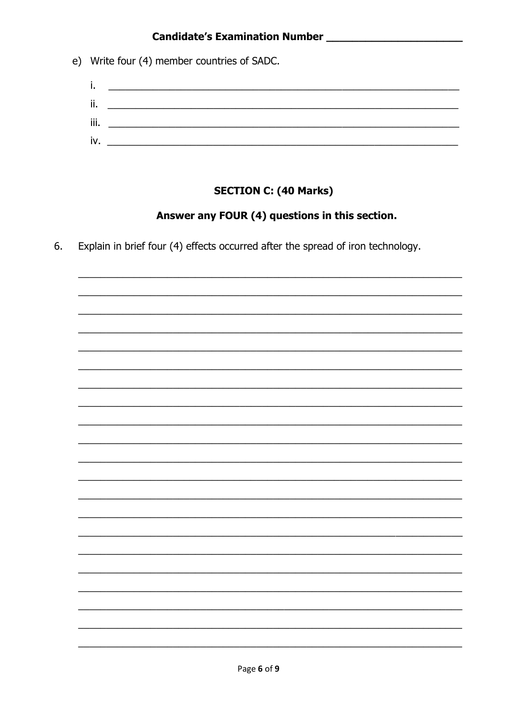e) Write four (4) member countries of SADC.

| ъ.   |  |
|------|--|
| ii.  |  |
| iii. |  |
| iv.  |  |
|      |  |

# **SECTION C: (40 Marks)**

# Answer any FOUR (4) questions in this section.

Explain in brief four (4) effects occurred after the spread of iron technology. 6.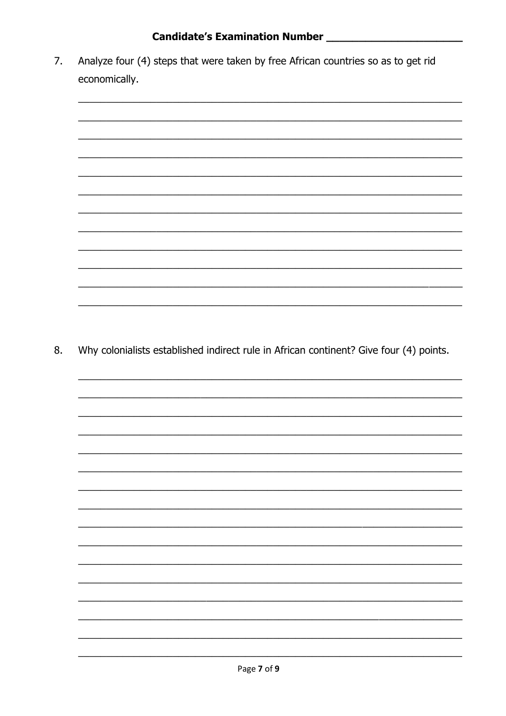Analyze four (4) steps that were taken by free African countries so as to get rid 7. economically.



Why colonialists established indirect rule in African continent? Give four (4) points. 8.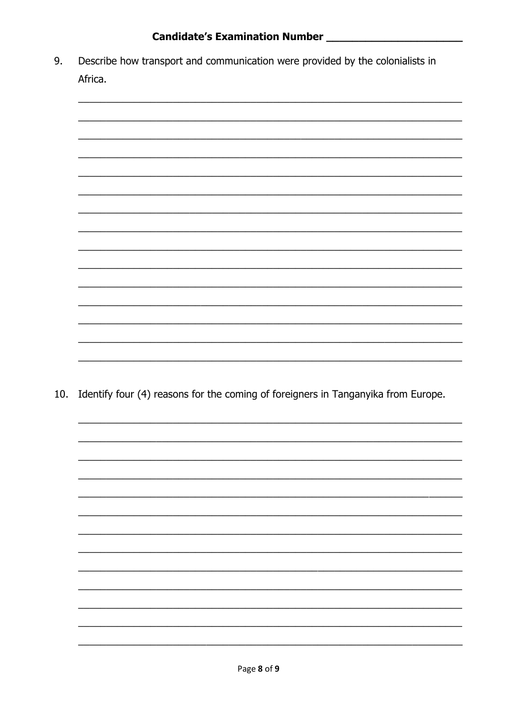Describe how transport and communication were provided by the colonialists in 9. Africa.



10. Identify four (4) reasons for the coming of foreigners in Tanganyika from Europe.